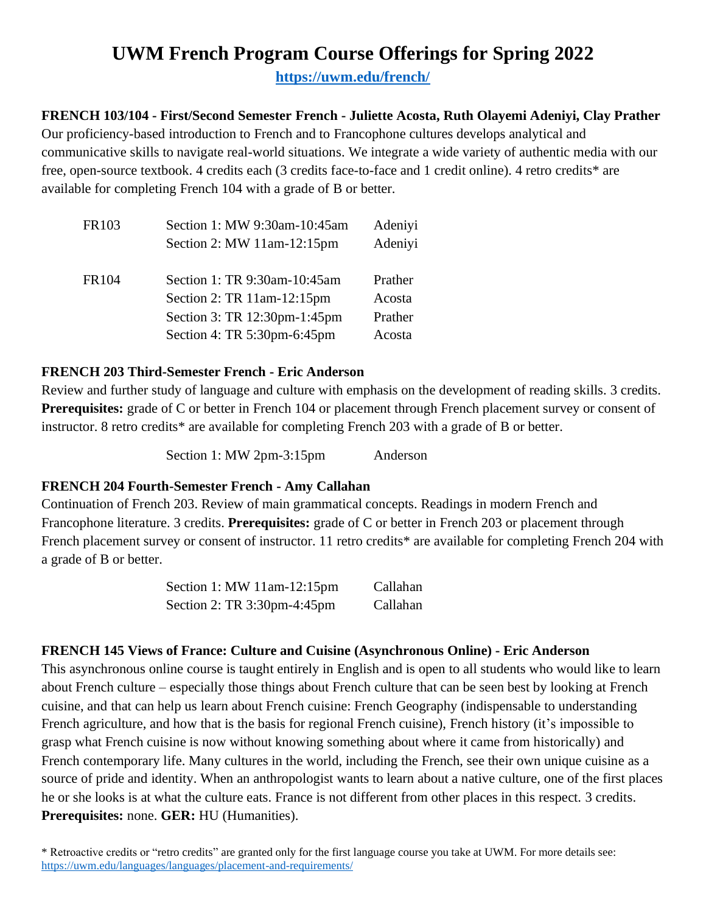# **UWM French Program Course Offerings for Spring 2022**

**<https://uwm.edu/french/>**

#### **FRENCH 103/104 - First/Second Semester French - Juliette Acosta, Ruth Olayemi Adeniyi, Clay Prather**

Our proficiency-based introduction to French and to Francophone cultures develops analytical and communicative skills to navigate real-world situations. We integrate a wide variety of authentic media with our free, open-source textbook. 4 credits each (3 credits face-to-face and 1 credit online). 4 retro credits\* are available for completing French 104 with a grade of B or better.

| FR103 | Section 1: MW 9:30am-10:45am      | Adeniyi |
|-------|-----------------------------------|---------|
|       | Section 2: MW $11$ am- $12:15$ pm | Adeniyi |
| FR104 | Section 1: TR 9:30am-10:45am      | Prather |
|       | Section 2: TR 11am-12:15pm        | Acosta  |
|       | Section 3: TR 12:30pm-1:45pm      | Prather |
|       | Section 4: TR 5:30pm-6:45pm       | Acosta  |

#### **FRENCH 203 Third-Semester French - Eric Anderson**

Review and further study of language and culture with emphasis on the development of reading skills. 3 credits. **Prerequisites:** grade of C or better in French 104 or placement through French placement survey or consent of instructor. 8 retro credits\* are available for completing French 203 with a grade of B or better.

Section 1: MW 2pm-3:15pm Anderson

#### **FRENCH 204 Fourth-Semester French - Amy Callahan**

Continuation of French 203. Review of main grammatical concepts. Readings in modern French and Francophone literature. 3 credits. **Prerequisites:** grade of C or better in French 203 or placement through French placement survey or consent of instructor. 11 retro credits\* are available for completing French 204 with a grade of B or better.

| Section 1: MW 11am-12:15pm  | Callahan |
|-----------------------------|----------|
| Section 2: TR 3:30pm-4:45pm | Callahan |

#### **FRENCH 145 Views of France: Culture and Cuisine (Asynchronous Online) - Eric Anderson**

This asynchronous online course is taught entirely in English and is open to all students who would like to learn about French culture – especially those things about French culture that can be seen best by looking at French cuisine, and that can help us learn about French cuisine: French Geography (indispensable to understanding French agriculture, and how that is the basis for regional French cuisine), French history (it's impossible to grasp what French cuisine is now without knowing something about where it came from historically) and French contemporary life. Many cultures in the world, including the French, see their own unique cuisine as a source of pride and identity. When an anthropologist wants to learn about a native culture, one of the first places he or she looks is at what the culture eats. France is not different from other places in this respect. 3 credits. **Prerequisites:** none. **GER:** HU (Humanities).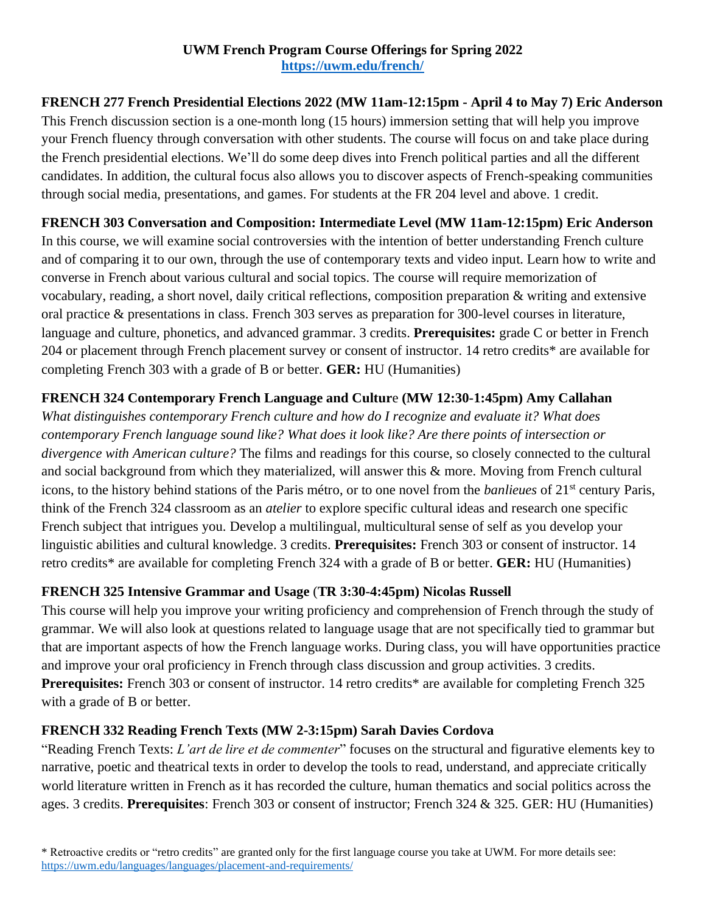## **UWM French Program Course Offerings for Spring 2022 <https://uwm.edu/french/>**

# **FRENCH 277 French Presidential Elections 2022 (MW 11am-12:15pm - April 4 to May 7) Eric Anderson**

This French discussion section is a one-month long (15 hours) immersion setting that will help you improve your French fluency through conversation with other students. The course will focus on and take place during the French presidential elections. We'll do some deep dives into French political parties and all the different candidates. In addition, the cultural focus also allows you to discover aspects of French-speaking communities through social media, presentations, and games. For students at the FR 204 level and above. 1 credit.

## **FRENCH 303 Conversation and Composition: Intermediate Level (MW 11am-12:15pm) Eric Anderson**

In this course, we will examine social controversies with the intention of better understanding French culture and of comparing it to our own, through the use of contemporary texts and video input. Learn how to write and converse in French about various cultural and social topics. The course will require memorization of vocabulary, reading, a short novel, daily critical reflections, composition preparation & writing and extensive oral practice & presentations in class. French 303 serves as preparation for 300-level courses in literature, language and culture, phonetics, and advanced grammar. 3 credits. **Prerequisites:** grade C or better in French 204 or placement through French placement survey or consent of instructor. 14 retro credits\* are available for completing French 303 with a grade of B or better. **GER:** HU (Humanities)

## **FRENCH 324 Contemporary French Language and Cultur**e **(MW 12:30-1:45pm) Amy Callahan**

*What distinguishes contemporary French culture and how do I recognize and evaluate it? What does contemporary French language sound like? What does it look like? Are there points of intersection or divergence with American culture?* The films and readings for this course, so closely connected to the cultural and social background from which they materialized, will answer this & more. Moving from French cultural icons, to the history behind stations of the Paris métro, or to one novel from the *banlieues* of 21st century Paris, think of the French 324 classroom as an *atelier* to explore specific cultural ideas and research one specific French subject that intrigues you. Develop a multilingual, multicultural sense of self as you develop your linguistic abilities and cultural knowledge. 3 credits. **Prerequisites:** French 303 or consent of instructor. 14 retro credits\* are available for completing French 324 with a grade of B or better. **GER:** HU (Humanities)

# **FRENCH 325 Intensive Grammar and Usage** (**TR 3:30-4:45pm) Nicolas Russell**

This course will help you improve your writing proficiency and comprehension of French through the study of grammar. We will also look at questions related to language usage that are not specifically tied to grammar but that are important aspects of how the French language works. During class, you will have opportunities practice and improve your oral proficiency in French through class discussion and group activities. 3 credits. **Prerequisites:** French 303 or consent of instructor. 14 retro credits\* are available for completing French 325 with a grade of B or better.

# **FRENCH 332 Reading French Texts (MW 2-3:15pm) Sarah Davies Cordova**

"Reading French Texts: *L'art de lire et de commenter*" focuses on the structural and figurative elements key to narrative, poetic and theatrical texts in order to develop the tools to read, understand, and appreciate critically world literature written in French as it has recorded the culture, human thematics and social politics across the ages. 3 credits. **Prerequisites**: French 303 or consent of instructor; French 324 & 325. GER: HU (Humanities)